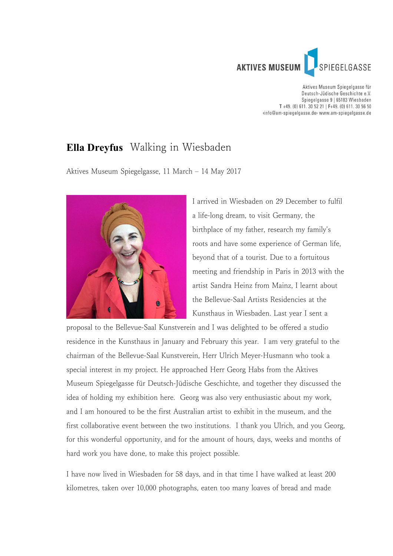

Aktives Museum Spiegelgasse für Deutsch-Jüdische Geschichte e.V. Spiegelgasse 9 | 65183 Wiesbaden T +49. (0) 611. 30 52 21 | F+49. (0) 611. 30 56 50 «info@am-spiegelgasse.de» www.am-spiegelgasse.de

## **Ella Dreyfus** Walking in Wiesbaden

Aktives Museum Spiegelgasse, 11 March – 14 May 2017



I arrived in Wiesbaden on 29 December to fulfil a life-long dream, to visit Germany, the birthplace of my father, research my family's roots and have some experience of German life, beyond that of a tourist. Due to a fortuitous meeting and friendship in Paris in 2013 with the artist Sandra Heinz from Mainz, I learnt about the Bellevue-Saal Artists Residencies at the Kunsthaus in Wiesbaden. Last year I sent a

proposal to the Bellevue-Saal Kunstverein and I was delighted to be offered a studio residence in the Kunsthaus in January and February this year. I am very grateful to the chairman of the Bellevue-Saal Kunstverein, Herr Ulrich Meyer-Husmann who took a special interest in my project. He approached Herr Georg Habs from the Aktives Museum Spiegelgasse für Deutsch-Jüdische Geschichte, and together they discussed the idea of holding my exhibition here. Georg was also very enthusiastic about my work, and I am honoured to be the first Australian artist to exhibit in the museum, and the first collaborative event between the two institutions. I thank you Ulrich, and you Georg, for this wonderful opportunity, and for the amount of hours, days, weeks and months of hard work you have done, to make this project possible.

I have now lived in Wiesbaden for 58 days, and in that time I have walked at least 200 kilometres, taken over 10,000 photographs, eaten too many loaves of bread and made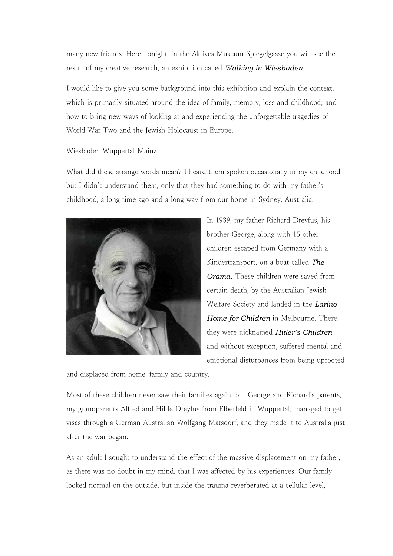many new friends. Here, tonight, in the Aktives Museum Spiegelgasse you will see the result of my creative research, an exhibition called *Walking in Wiesbaden.*

I would like to give you some background into this exhibition and explain the context, which is primarily situated around the idea of family, memory, loss and childhood; and how to bring new ways of looking at and experiencing the unforgettable tragedies of World War Two and the Jewish Holocaust in Europe.

## Wiesbaden Wuppertal Mainz

What did these strange words mean? I heard them spoken occasionally in my childhood but I didn't understand them, only that they had something to do with my father's childhood, a long time ago and a long way from our home in Sydney, Australia.



In 1939, my father Richard Dreyfus, his brother George, along with 15 other children escaped from Germany with a Kindertransport, on a boat called *The Orama.* These children were saved from certain death, by the Australian Jewish Welfare Society and landed in the *Larino Home for Children* in Melbourne. There, they were nicknamed *Hitler's Children* and without exception, suffered mental and emotional disturbances from being uprooted

and displaced from home, family and country.

Most of these children never saw their families again, but George and Richard's parents, my grandparents Alfred and Hilde Dreyfus from Elberfeld in Wuppertal, managed to get visas through a German-Australian Wolfgang Matsdorf, and they made it to Australia just after the war began.

As an adult I sought to understand the effect of the massive displacement on my father, as there was no doubt in my mind, that I was affected by his experiences. Our family looked normal on the outside, but inside the trauma reverberated at a cellular level,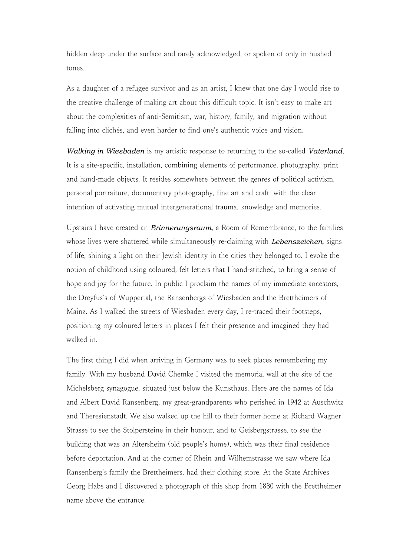hidden deep under the surface and rarely acknowledged, or spoken of only in hushed tones.

As a daughter of a refugee survivor and as an artist, I knew that one day I would rise to the creative challenge of making art about this difficult topic. It isn't easy to make art about the complexities of anti-Semitism, war, history, family, and migration without falling into clichés, and even harder to find one's authentic voice and vision.

*Walking in Wiesbaden* is my artistic response to returning to the so-called *Vaterland.* It is a site-specific, installation, combining elements of performance, photography, print and hand-made objects. It resides somewhere between the genres of political activism, personal portraiture, documentary photography, fine art and craft; with the clear intention of activating mutual intergenerational trauma, knowledge and memories.

Upstairs I have created an *Erinnerungsraum*, a Room of Remembrance, to the families whose lives were shattered while simultaneously re-claiming with *Lebenszeichen*, signs of life, shining a light on their Jewish identity in the cities they belonged to. I evoke the notion of childhood using coloured, felt letters that I hand-stitched, to bring a sense of hope and joy for the future. In public I proclaim the names of my immediate ancestors, the Dreyfus's of Wuppertal, the Ransenbergs of Wiesbaden and the Brettheimers of Mainz. As I walked the streets of Wiesbaden every day, I re-traced their footsteps, positioning my coloured letters in places I felt their presence and imagined they had walked in.

The first thing I did when arriving in Germany was to seek places remembering my family. With my husband David Chemke I visited the memorial wall at the site of the Michelsberg synagogue, situated just below the Kunsthaus. Here are the names of Ida and Albert David Ransenberg, my great-grandparents who perished in 1942 at Auschwitz and Theresienstadt. We also walked up the hill to their former home at Richard Wagner Strasse to see the Stolpersteine in their honour, and to Geisbergstrasse, to see the building that was an Altersheim (old people's home), which was their final residence before deportation. And at the corner of Rhein and Wilhemstrasse we saw where Ida Ransenberg's family the Brettheimers, had their clothing store. At the State Archives Georg Habs and I discovered a photograph of this shop from 1880 with the Brettheimer name above the entrance.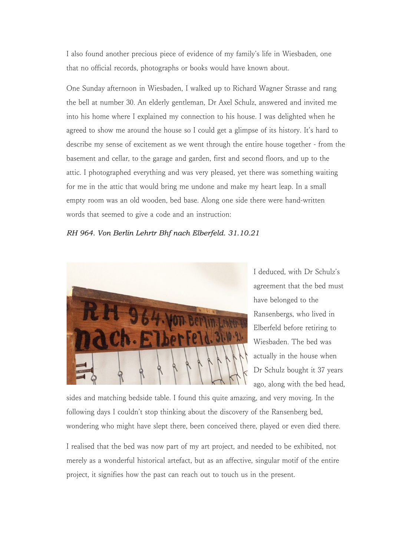I also found another precious piece of evidence of my family's life in Wiesbaden, one that no official records, photographs or books would have known about.

One Sunday afternoon in Wiesbaden, I walked up to Richard Wagner Strasse and rang the bell at number 30. An elderly gentleman, Dr Axel Schulz, answered and invited me into his home where I explained my connection to his house. I was delighted when he agreed to show me around the house so I could get a glimpse of its history. It's hard to describe my sense of excitement as we went through the entire house together - from the basement and cellar, to the garage and garden, first and second floors, and up to the attic. I photographed everything and was very pleased, yet there was something waiting for me in the attic that would bring me undone and make my heart leap. In a small empty room was an old wooden, bed base. Along one side there were hand-written words that seemed to give a code and an instruction:

## *RH 964. Von Berlin Lehrtr Bhf nach Elberfeld. 31.10.21*



I deduced, with Dr Schulz's agreement that the bed must have belonged to the Ransenbergs, who lived in Elberfeld before retiring to Wiesbaden. The bed was actually in the house when Dr Schulz bought it 37 years ago, along with the bed head,

sides and matching bedside table. I found this quite amazing, and very moving. In the following days I couldn't stop thinking about the discovery of the Ransenberg bed, wondering who might have slept there, been conceived there, played or even died there.

I realised that the bed was now part of my art project, and needed to be exhibited, not merely as a wonderful historical artefact, but as an affective, singular motif of the entire project, it signifies how the past can reach out to touch us in the present.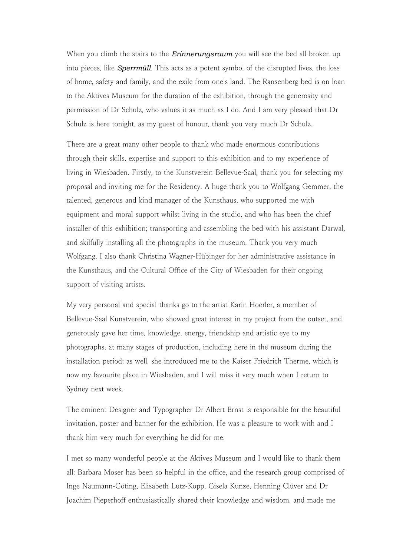When you climb the stairs to the *Erinnerungsraum* you will see the bed all broken up into pieces, like *Sperrmüll*. This acts as a potent symbol of the disrupted lives, the loss of home, safety and family, and the exile from one's land. The Ransenberg bed is on loan to the Aktives Museum for the duration of the exhibition, through the generosity and permission of Dr Schulz, who values it as much as I do. And I am very pleased that Dr Schulz is here tonight, as my guest of honour, thank you very much Dr Schulz.

There are a great many other people to thank who made enormous contributions through their skills, expertise and support to this exhibition and to my experience of living in Wiesbaden. Firstly, to the Kunstverein Bellevue-Saal, thank you for selecting my proposal and inviting me for the Residency. A huge thank you to Wolfgang Gemmer, the talented, generous and kind manager of the Kunsthaus, who supported me with equipment and moral support whilst living in the studio, and who has been the chief installer of this exhibition; transporting and assembling the bed with his assistant Darwal, and skilfully installing all the photographs in the museum. Thank you very much Wolfgang. I also thank Christina Wagner-Hübinger for her administrative assistance in the Kunsthaus, and the Cultural Office of the City of Wiesbaden for their ongoing support of visiting artists.

My very personal and special thanks go to the artist Karin Hoerler, a member of Bellevue-Saal Kunstverein, who showed great interest in my project from the outset, and generously gave her time, knowledge, energy, friendship and artistic eye to my photographs, at many stages of production, including here in the museum during the installation period; as well, she introduced me to the Kaiser Friedrich Therme, which is now my favourite place in Wiesbaden, and I will miss it very much when I return to Sydney next week.

The eminent Designer and Typographer Dr Albert Ernst is responsible for the beautiful invitation, poster and banner for the exhibition. He was a pleasure to work with and I thank him very much for everything he did for me.

I met so many wonderful people at the Aktives Museum and I would like to thank them all: Barbara Moser has been so helpful in the office, and the research group comprised of Inge Naumann-Göting, Elisabeth Lutz-Kopp, Gisela Kunze, Henning Clüver and Dr Joachim Pieperhoff enthusiastically shared their knowledge and wisdom, and made me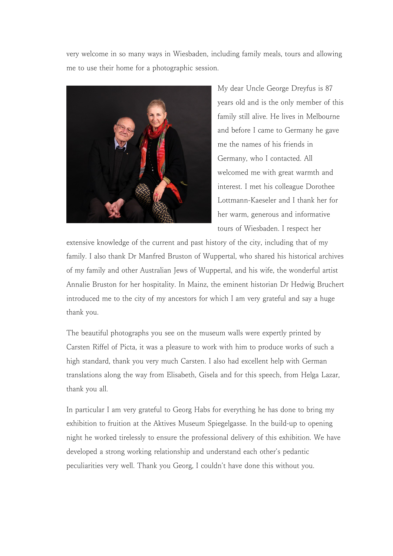very welcome in so many ways in Wiesbaden, including family meals, tours and allowing me to use their home for a photographic session.



My dear Uncle George Dreyfus is 87 years old and is the only member of this family still alive. He lives in Melbourne and before I came to Germany he gave me the names of his friends in Germany, who I contacted. All welcomed me with great warmth and interest. I met his colleague Dorothee Lottmann-Kaeseler and I thank her for her warm, generous and informative tours of Wiesbaden. I respect her

extensive knowledge of the current and past history of the city, including that of my family. I also thank Dr Manfred Bruston of Wuppertal, who shared his historical archives of my family and other Australian Jews of Wuppertal, and his wife, the wonderful artist Annalie Bruston for her hospitality. In Mainz, the eminent historian Dr Hedwig Bruchert introduced me to the city of my ancestors for which I am very grateful and say a huge thank you.

The beautiful photographs you see on the museum walls were expertly printed by Carsten Riffel of Picta, it was a pleasure to work with him to produce works of such a high standard, thank you very much Carsten. I also had excellent help with German translations along the way from Elisabeth, Gisela and for this speech, from Helga Lazar, thank you all.

In particular I am very grateful to Georg Habs for everything he has done to bring my exhibition to fruition at the Aktives Museum Spiegelgasse. In the build-up to opening night he worked tirelessly to ensure the professional delivery of this exhibition. We have developed a strong working relationship and understand each other's pedantic peculiarities very well. Thank you Georg, I couldn't have done this without you.